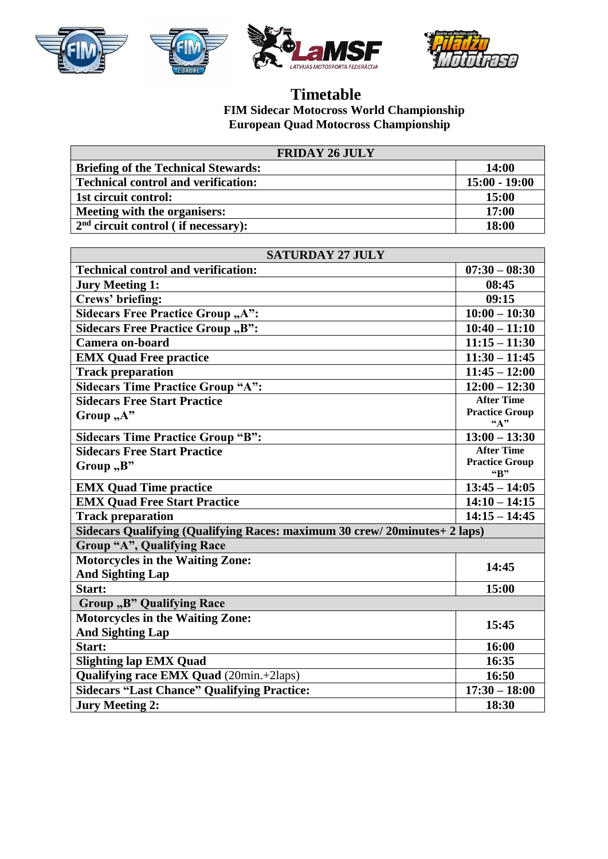







## **Timetable FIM Sidecar Motocross World Championship European Quad Motocross Championship**

| <b>FRIDAY 26 JULY</b>                      |                 |
|--------------------------------------------|-----------------|
| <b>Briefing of the Technical Stewards:</b> | 14:00           |
| <b>Technical control and verification:</b> | $15:00 - 19:00$ |
| 1st circuit control:                       | 15:00           |
| Meeting with the organisers:               | 17:00           |
| $2nd$ circuit control (if necessary):      | 18:00           |

| <b>SATURDAY 27 JULY</b>                                                   |                                                      |  |
|---------------------------------------------------------------------------|------------------------------------------------------|--|
| <b>Technical control and verification:</b>                                | $07:30 - 08:30$                                      |  |
| <b>Jury Meeting 1:</b>                                                    | 08:45                                                |  |
| Crews' briefing:                                                          | 09:15                                                |  |
| Sidecars Free Practice Group "A":                                         | $10:00 - 10:30$                                      |  |
| Sidecars Free Practice Group "B":                                         | $10:40 - 11:10$                                      |  |
| Camera on-board                                                           | $11:15 - 11:30$                                      |  |
| <b>EMX Quad Free practice</b>                                             | $11:30 - 11:45$                                      |  |
| <b>Track preparation</b>                                                  | $11:45 - 12:00$                                      |  |
| <b>Sidecars Time Practice Group "A":</b>                                  | $12:00 - 12:30$                                      |  |
| <b>Sidecars Free Start Practice</b>                                       | <b>After Time</b>                                    |  |
| Group, A"                                                                 | <b>Practice Group</b><br>$\mathbf{A}^{\prime\prime}$ |  |
| <b>Sidecars Time Practice Group "B":</b>                                  | $13:00 - 13:30$                                      |  |
| <b>Sidecars Free Start Practice</b>                                       | <b>After Time</b>                                    |  |
| Group "B"                                                                 | <b>Practice Group</b><br>"B"                         |  |
| <b>EMX Quad Time practice</b>                                             | $13:45 - 14:05$                                      |  |
| <b>EMX Quad Free Start Practice</b>                                       | $14:10 - 14:15$                                      |  |
| <b>Track preparation</b>                                                  | $14:15 - 14:45$                                      |  |
| Sidecars Qualifying (Qualifying Races: maximum 30 crew/20minutes+ 2 laps) |                                                      |  |
| Group "A", Qualifying Race                                                |                                                      |  |
| <b>Motorcycles in the Waiting Zone:</b>                                   | 14:45                                                |  |
| <b>And Sighting Lap</b>                                                   |                                                      |  |
| Start:                                                                    | 15:00                                                |  |
| Group "B" Qualifying Race                                                 |                                                      |  |
| <b>Motorcycles in the Waiting Zone:</b>                                   | 15:45                                                |  |
| <b>And Sighting Lap</b>                                                   |                                                      |  |
| Start:                                                                    | 16:00                                                |  |
| <b>Slighting lap EMX Quad</b>                                             | 16:35                                                |  |
| Qualifying race EMX Quad (20min.+2laps)                                   | 16:50                                                |  |
| <b>Sidecars "Last Chance" Qualifying Practice:</b>                        | $17:30 - 18:00$                                      |  |
| <b>Jury Meeting 2:</b>                                                    | 18:30                                                |  |